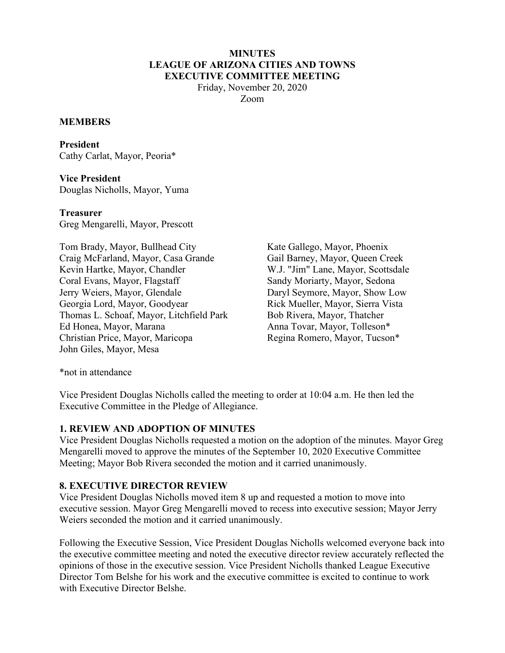#### **MINUTES LEAGUE OF ARIZONA CITIES AND TOWNS EXECUTIVE COMMITTEE MEETING**

Friday, November 20, 2020 Zoom

#### **MEMBERS**

**President**  Cathy Carlat, Mayor, Peoria\*

**Vice President**  Douglas Nicholls, Mayor, Yuma

**Treasurer**  Greg Mengarelli, Mayor, Prescott

Tom Brady, Mayor, Bullhead City Craig McFarland, Mayor, Casa Grande Kevin Hartke, Mayor, Chandler Coral Evans, Mayor, Flagstaff Jerry Weiers, Mayor, Glendale Georgia Lord, Mayor, Goodyear Thomas L. Schoaf, Mayor, Litchfield Park Ed Honea, Mayor, Marana Christian Price, Mayor, Maricopa John Giles, Mayor, Mesa

Kate Gallego, Mayor, Phoenix Gail Barney, Mayor, Queen Creek W.J. "Jim" Lane, Mayor, Scottsdale Sandy Moriarty, Mayor, Sedona Daryl Seymore, Mayor, Show Low Rick Mueller, Mayor, Sierra Vista Bob Rivera, Mayor, Thatcher Anna Tovar, Mayor, Tolleson\* Regina Romero, Mayor, Tucson\*

\*not in attendance

Vice President Douglas Nicholls called the meeting to order at 10:04 a.m. He then led the Executive Committee in the Pledge of Allegiance.

#### **1. REVIEW AND ADOPTION OF MINUTES**

Vice President Douglas Nicholls requested a motion on the adoption of the minutes. Mayor Greg Mengarelli moved to approve the minutes of the September 10, 2020 Executive Committee Meeting; Mayor Bob Rivera seconded the motion and it carried unanimously.

## **8. EXECUTIVE DIRECTOR REVIEW**

Vice President Douglas Nicholls moved item 8 up and requested a motion to move into executive session. Mayor Greg Mengarelli moved to recess into executive session; Mayor Jerry Weiers seconded the motion and it carried unanimously.

Following the Executive Session, Vice President Douglas Nicholls welcomed everyone back into the executive committee meeting and noted the executive director review accurately reflected the opinions of those in the executive session. Vice President Nicholls thanked League Executive Director Tom Belshe for his work and the executive committee is excited to continue to work with Executive Director Belshe.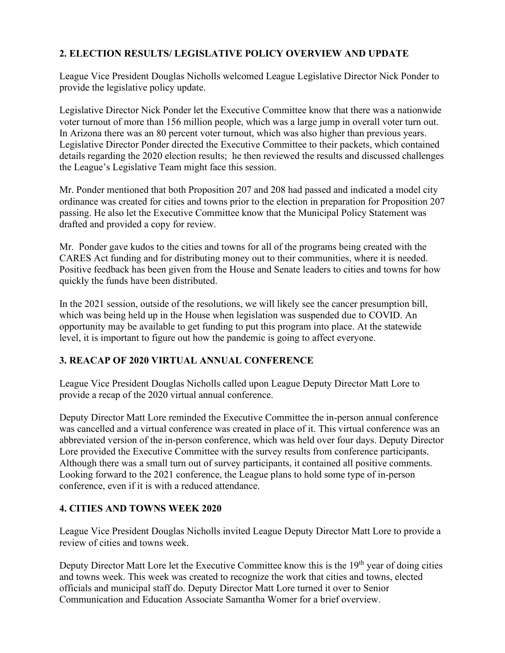# **2. ELECTION RESULTS/ LEGISLATIVE POLICY OVERVIEW AND UPDATE**

League Vice President Douglas Nicholls welcomed League Legislative Director Nick Ponder to provide the legislative policy update.

Legislative Director Nick Ponder let the Executive Committee know that there was a nationwide voter turnout of more than 156 million people, which was a large jump in overall voter turn out. In Arizona there was an 80 percent voter turnout, which was also higher than previous years. Legislative Director Ponder directed the Executive Committee to their packets, which contained details regarding the 2020 election results; he then reviewed the results and discussed challenges the League's Legislative Team might face this session.

Mr. Ponder mentioned that both Proposition 207 and 208 had passed and indicated a model city ordinance was created for cities and towns prior to the election in preparation for Proposition 207 passing. He also let the Executive Committee know that the Municipal Policy Statement was drafted and provided a copy for review.

Mr. Ponder gave kudos to the cities and towns for all of the programs being created with the CARES Act funding and for distributing money out to their communities, where it is needed. Positive feedback has been given from the House and Senate leaders to cities and towns for how quickly the funds have been distributed.

In the 2021 session, outside of the resolutions, we will likely see the cancer presumption bill, which was being held up in the House when legislation was suspended due to COVID. An opportunity may be available to get funding to put this program into place. At the statewide level, it is important to figure out how the pandemic is going to affect everyone.

## **3. REACAP OF 2020 VIRTUAL ANNUAL CONFERENCE**

League Vice President Douglas Nicholls called upon League Deputy Director Matt Lore to provide a recap of the 2020 virtual annual conference.

Deputy Director Matt Lore reminded the Executive Committee the in-person annual conference was cancelled and a virtual conference was created in place of it. This virtual conference was an abbreviated version of the in-person conference, which was held over four days. Deputy Director Lore provided the Executive Committee with the survey results from conference participants. Although there was a small turn out of survey participants, it contained all positive comments. Looking forward to the 2021 conference, the League plans to hold some type of in-person conference, even if it is with a reduced attendance.

## **4. CITIES AND TOWNS WEEK 2020**

League Vice President Douglas Nicholls invited League Deputy Director Matt Lore to provide a review of cities and towns week.

Deputy Director Matt Lore let the Executive Committee know this is the 19<sup>th</sup> year of doing cities and towns week. This week was created to recognize the work that cities and towns, elected officials and municipal staff do. Deputy Director Matt Lore turned it over to Senior Communication and Education Associate Samantha Womer for a brief overview.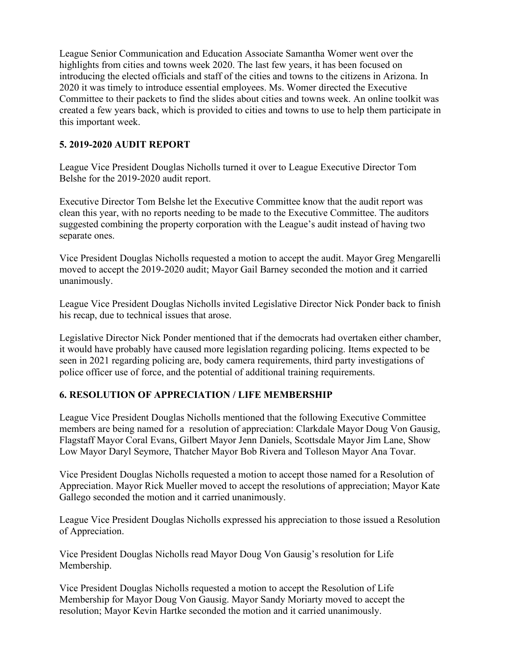League Senior Communication and Education Associate Samantha Womer went over the highlights from cities and towns week 2020. The last few years, it has been focused on introducing the elected officials and staff of the cities and towns to the citizens in Arizona. In 2020 it was timely to introduce essential employees. Ms. Womer directed the Executive Committee to their packets to find the slides about cities and towns week. An online toolkit was created a few years back, which is provided to cities and towns to use to help them participate in this important week.

# **5. 2019-2020 AUDIT REPORT**

League Vice President Douglas Nicholls turned it over to League Executive Director Tom Belshe for the 2019-2020 audit report.

Executive Director Tom Belshe let the Executive Committee know that the audit report was clean this year, with no reports needing to be made to the Executive Committee. The auditors suggested combining the property corporation with the League's audit instead of having two separate ones.

Vice President Douglas Nicholls requested a motion to accept the audit. Mayor Greg Mengarelli moved to accept the 2019-2020 audit; Mayor Gail Barney seconded the motion and it carried unanimously.

League Vice President Douglas Nicholls invited Legislative Director Nick Ponder back to finish his recap, due to technical issues that arose.

Legislative Director Nick Ponder mentioned that if the democrats had overtaken either chamber, it would have probably have caused more legislation regarding policing. Items expected to be seen in 2021 regarding policing are, body camera requirements, third party investigations of police officer use of force, and the potential of additional training requirements.

## **6. RESOLUTION OF APPRECIATION / LIFE MEMBERSHIP**

League Vice President Douglas Nicholls mentioned that the following Executive Committee members are being named for a resolution of appreciation: Clarkdale Mayor Doug Von Gausig, Flagstaff Mayor Coral Evans, Gilbert Mayor Jenn Daniels, Scottsdale Mayor Jim Lane, Show Low Mayor Daryl Seymore, Thatcher Mayor Bob Rivera and Tolleson Mayor Ana Tovar.

Vice President Douglas Nicholls requested a motion to accept those named for a Resolution of Appreciation. Mayor Rick Mueller moved to accept the resolutions of appreciation; Mayor Kate Gallego seconded the motion and it carried unanimously.

League Vice President Douglas Nicholls expressed his appreciation to those issued a Resolution of Appreciation.

Vice President Douglas Nicholls read Mayor Doug Von Gausig's resolution for Life Membership.

Vice President Douglas Nicholls requested a motion to accept the Resolution of Life Membership for Mayor Doug Von Gausig. Mayor Sandy Moriarty moved to accept the resolution; Mayor Kevin Hartke seconded the motion and it carried unanimously.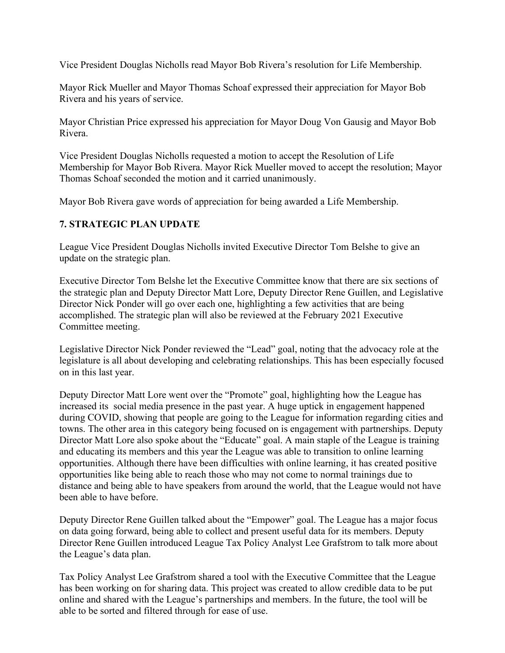Vice President Douglas Nicholls read Mayor Bob Rivera's resolution for Life Membership.

Mayor Rick Mueller and Mayor Thomas Schoaf expressed their appreciation for Mayor Bob Rivera and his years of service.

Mayor Christian Price expressed his appreciation for Mayor Doug Von Gausig and Mayor Bob Rivera.

Vice President Douglas Nicholls requested a motion to accept the Resolution of Life Membership for Mayor Bob Rivera. Mayor Rick Mueller moved to accept the resolution; Mayor Thomas Schoaf seconded the motion and it carried unanimously.

Mayor Bob Rivera gave words of appreciation for being awarded a Life Membership.

## **7. STRATEGIC PLAN UPDATE**

League Vice President Douglas Nicholls invited Executive Director Tom Belshe to give an update on the strategic plan.

Executive Director Tom Belshe let the Executive Committee know that there are six sections of the strategic plan and Deputy Director Matt Lore, Deputy Director Rene Guillen, and Legislative Director Nick Ponder will go over each one, highlighting a few activities that are being accomplished. The strategic plan will also be reviewed at the February 2021 Executive Committee meeting.

Legislative Director Nick Ponder reviewed the "Lead" goal, noting that the advocacy role at the legislature is all about developing and celebrating relationships. This has been especially focused on in this last year.

Deputy Director Matt Lore went over the "Promote" goal, highlighting how the League has increased its social media presence in the past year. A huge uptick in engagement happened during COVID, showing that people are going to the League for information regarding cities and towns. The other area in this category being focused on is engagement with partnerships. Deputy Director Matt Lore also spoke about the "Educate" goal. A main staple of the League is training and educating its members and this year the League was able to transition to online learning opportunities. Although there have been difficulties with online learning, it has created positive opportunities like being able to reach those who may not come to normal trainings due to distance and being able to have speakers from around the world, that the League would not have been able to have before.

Deputy Director Rene Guillen talked about the "Empower" goal. The League has a major focus on data going forward, being able to collect and present useful data for its members. Deputy Director Rene Guillen introduced League Tax Policy Analyst Lee Grafstrom to talk more about the League's data plan.

Tax Policy Analyst Lee Grafstrom shared a tool with the Executive Committee that the League has been working on for sharing data. This project was created to allow credible data to be put online and shared with the League's partnerships and members. In the future, the tool will be able to be sorted and filtered through for ease of use.